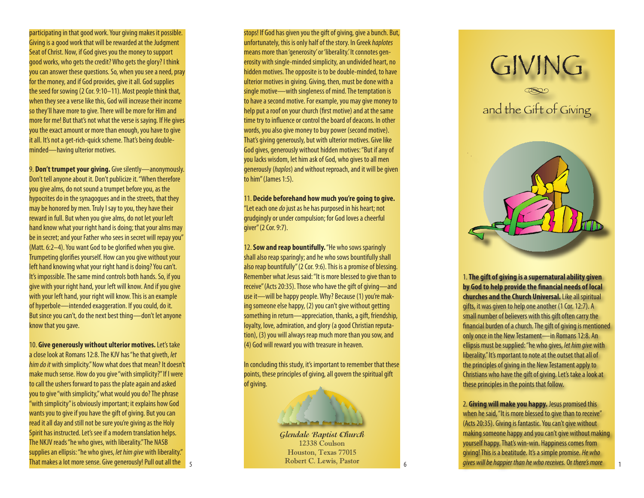participating in that good work. Your giving makes it possible. Giving is a good work that will be rewarded at the Judgment Seat of Christ. Now, if God gives you the money to support good works, who gets the credit? Who gets the glory? I think you can answer these questions. So, when you see a need, pray for the money, and if God provides, give it all. God supplies the seed for sowing (2 Cor. 9:10–11). Most people think that, when they see a verse like this, God will increase their income so they'll have more to give. There will be more for Him and more for me! But that's not what the verse is saying. If He gives you the exact amount or more than enough, you have to give it all. It's not a get-rich-quick scheme. That's being doubleminded—having ulterior motives.

9. **Don't trumpet your giving.** Give silently—anonymously. Don't tell anyone about it. Don't publicize it. "When therefore you give alms, do not sound a trumpet before you, as the hypocrites do in the synagogues and in the streets, that they may be honored by men. Truly I say to you, they have their reward in full. But when you give alms, do not let your left hand know what your right hand is doing; that your alms may be in secret; and your Father who sees in secret will repay you" (Matt. 6:2–4). You want God to be glorified when you give. Trumpeting glorifies yourself. How can you give without your left hand knowing what your right hand is doing? You can't. It's impossible. The same mind controls both hands. So, if you give with your right hand, your left will know. And if you give with your left hand, your right will know. This is an example of hyperbole—intended exaggeration. If you could, do it. But since you can't, do the next best thing—don't let anyone know that you gave.

10. **Give generously without ulterior motives.** Let's take a close look at Romans 12:8. The KJV has "he that giveth, *let him do it* with simplicity." Now what does that mean? It doesn't make much sense. How do you give "with simplicity?" If I were to call the ushers forward to pass the plate again and asked you to give "with simplicity," what would you do? The phrase "with simplicity" is obviously important; it explains how God wants you to give if you have the gift of giving. But you can read it all day and still not be sure you're giving as the Holy Spirit has instructed. Let's see if a modern translation helps. The NKJV reads "he who gives, with liberality." The NASB supplies an ellipsis: "he who gives, *let him give* with liberality." That makes a lot more sense. Give generously! Pull out all the 5 stops! If God has given you the gift of giving, give a bunch. But, unfortunately, this is only half of the story. In Greek *haplotes* means more than 'generosity' or 'liberality.' It connotes gen erosity with single-minded simplicity, an undivided heart, no hidden motives. The opposite is to be double-minded, to have ulterior motives in giving. Giving, then, must be done with a single motive—with singleness of mind. The temptation is to have a second motive. For example, you may give money to help put a roof on your church (first motive) and at the same time try to influence or control the board of deacons. In other words, you also give money to buy power (second motive). That's giving generously, but with ulterior motives. Give like God gives, generously without hidden motives: "But if any of you lacks wisdom, let him ask of God, who gives to all men generously (*haplos*) and without reproach, and it will be given to him" (James 1:5).

11. **Decide beforehand how much you're going to give.** "Let each one *do* just as he has purposed in his heart; not grudgingly or under compulsion; for God loves a cheerful giver" (2 Cor. 9:7).

12. **Sow and reap bountifully.** "He who sows sparingly shall also reap sparingly; and he who sows bountifully shall also reap bountifully" (2 Cor. 9:6). This is a promise of blessing. Remember what Jesus said: "It is more blessed to give than to receive" (Acts 20:35). Those who have the gift of giving—and use it—will be happy people. Why? Because (1) you're mak ing someone else happy, (2) you can't give without getting something in return—appreciation, thanks, a gift, friendship, loyalty, love, admiration, and glory (a good Christian reputa tion), (3) you will always reap much more than you sow, and (4) God will reward you with treasure in heaven.

In concluding this study, it's important to remember that these points, these principles of giving, all govern the spiritual gift of giving.

## **Glendale Baptist Church** 12338 Coulson Houston, Texas 77015 Robert C. Lewis, Pastor

*<u>And had and</u>* 

÷, 1. **The gift of giving is a supernatural ability given by God to help provide the financial needs of local churches and the Church Universal.** Like all spiritual gifts, it was given to help one another (1 Cor. 12:7). A small number of believers with this gift often carry the

GIVING

and the Gift of Giving

financial burden of a church. The gift of giving is mentioned only once in the New Testament—in Romans 12:8. An ellipsis must be supplied: "he who gives, *let him give* with liberality." It's mportant to note at the outset that all of the principles of giving in the New Testament apply to Christians who have the gift of giving. Let's take a look at these principles in the points that follow.

2. **Giving will make you happy.** Jesus promised this when he said, "It is more blessed to give than to receive" (Acts 20:35). Giving is fantastic. You can't give without making someone happy and you can't give without making yourself happy. That's win-win. Happiness comes from giving! This is a beatitude. It's a simple promise. *He who gives will be happier than he who receives.* Or *there's more*